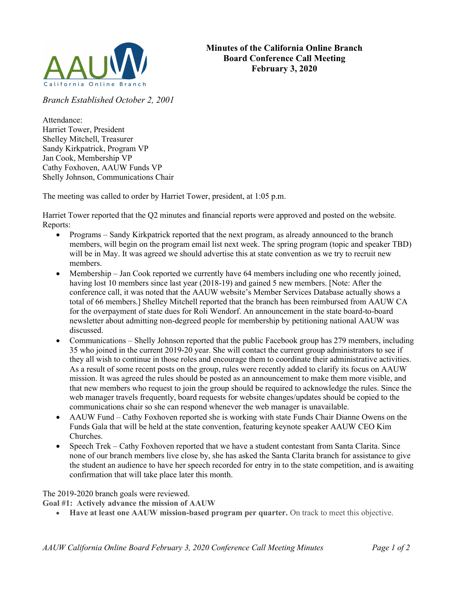

Branch Established October 2, 2001

Attendance: Harriet Tower, President Shelley Mitchell, Treasurer Sandy Kirkpatrick, Program VP Jan Cook, Membership VP Cathy Foxhoven, AAUW Funds VP Shelly Johnson, Communications Chair

The meeting was called to order by Harriet Tower, president, at 1:05 p.m.

Harriet Tower reported that the Q2 minutes and financial reports were approved and posted on the website. Reports:

- Programs Sandy Kirkpatrick reported that the next program, as already announced to the branch members, will begin on the program email list next week. The spring program (topic and speaker TBD) will be in May. It was agreed we should advertise this at state convention as we try to recruit new members.
- Membership Jan Cook reported we currently have 64 members including one who recently joined, having lost 10 members since last year (2018-19) and gained 5 new members. [Note: After the conference call, it was noted that the AAUW website's Member Services Database actually shows a total of 66 members.] Shelley Mitchell reported that the branch has been reimbursed from AAUW CA for the overpayment of state dues for Roli Wendorf. An announcement in the state board-to-board newsletter about admitting non-degreed people for membership by petitioning national AAUW was discussed.
- Communications Shelly Johnson reported that the public Facebook group has 279 members, including 35 who joined in the current 2019-20 year. She will contact the current group administrators to see if they all wish to continue in those roles and encourage them to coordinate their administrative activities. As a result of some recent posts on the group, rules were recently added to clarify its focus on AAUW mission. It was agreed the rules should be posted as an announcement to make them more visible, and that new members who request to join the group should be required to acknowledge the rules. Since the web manager travels frequently, board requests for website changes/updates should be copied to the communications chair so she can respond whenever the web manager is unavailable.
- AAUW Fund Cathy Foxhoven reported she is working with state Funds Chair Dianne Owens on the Funds Gala that will be held at the state convention, featuring keynote speaker AAUW CEO Kim Churches.
- Speech Trek Cathy Foxhoven reported that we have a student contestant from Santa Clarita. Since none of our branch members live close by, she has asked the Santa Clarita branch for assistance to give the student an audience to have her speech recorded for entry in to the state competition, and is awaiting confirmation that will take place later this month.

The 2019-2020 branch goals were reviewed.

Goal #1: Actively advance the mission of AAUW

Have at least one AAUW mission-based program per quarter. On track to meet this objective.